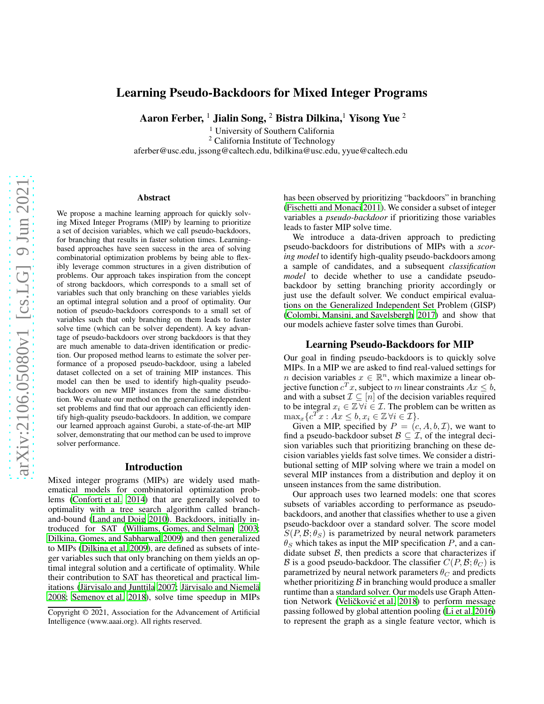# Learning Pseudo-Backdoors for Mixed Integer Programs

Aaron Ferber, <sup>1</sup> Jialin Song, <sup>2</sup> Bistra Dilkina, <sup>1</sup> Yisong Yue <sup>2</sup>

<sup>1</sup> University of Southern California

<sup>2</sup> California Institute of Technology

aferber@usc.edu, jssong@caltech.edu, bdilkina@usc.edu, yyue@caltech.edu

#### Abstract

We propose a machine learning approach for quickly solving Mixed Integer Programs (MIP) by learning to prioritize a set of decision variables, which we call pseudo-backdoors, for branching that results in faster solution times. Learningbased approaches have seen success in the area of solving combinatorial optimization problems by being able to flexibly leverage common structures in a given distribution of problems. Our approach takes inspiration from the concept of strong backdoors, which corresponds to a small set of variables such that only branching on these variables yields an optimal integral solution and a proof of optimality. Our notion of pseudo-backdoors corresponds to a small set of variables such that only branching on them leads to faster solve time (which can be solver dependent). A key advantage of pseudo-backdoors over strong backdoors is that they are much amenable to data-driven identification or prediction. Our proposed method learns to estimate the solver performance of a proposed pseudo-backdoor, using a labeled dataset collected on a set of training MIP instances. This model can then be used to identify high-quality pseudobackdoors on new MIP instances from the same distribution. We evaluate our method on the generalized independent set problems and find that our approach can efficiently identify high-quality pseudo-backdoors. In addition, we compare our learned approach against Gurobi, a state-of-the-art MIP solver, demonstrating that our method can be used to improve solver performance.

#### Introduction

Mixed integer programs (MIPs) are widely used mathematical models for combinatorial optimization problems [\(Conforti et al. 2014](#page-2-0)) that are generally solved to optimality with a tree search algorithm called branchand-bound [\(Land and Doig 2010\)](#page-2-1). Backdoors, initially introduced for SAT [\(Williams, Gomes, and Selman 2003;](#page-2-2) [Dilkina, Gomes, and Sabharwal 2009\)](#page-2-3) and then generalized to MIPs [\(Dilkina et al. 2009](#page-2-4)), are defined as subsets of integer variables such that only branching on them yields an optimal integral solution and a certificate of optimality. While their contribution to SAT has theoretical and practical limitations (Järvisalo and Junttila 2007; Järvisalo and Niemelä [2008;](#page-2-6) [Semenov et al. 2018](#page-2-7)), solve time speedup in MIPs has been observed by prioritizing "backdoors" in branching [\(Fischetti and Monaci 2011\)](#page-2-8). We consider a subset of integer variables a *pseudo-backdoor* if prioritizing those variables leads to faster MIP solve time.

We introduce a data-driven approach to predicting pseudo-backdoors for distributions of MIPs with a *scoring model* to identify high-quality pseudo-backdoors among a sample of candidates, and a subsequent *classification model* to decide whether to use a candidate pseudobackdoor by setting branching priority accordingly or just use the default solver. We conduct empirical evaluations on the Generalized Independent Set Problem (GISP) [\(Colombi, Mansini, and Savelsbergh 2017](#page-2-9)) and show that our models achieve faster solve times than Gurobi.

### Learning Pseudo-Backdoors for MIP

Our goal in finding pseudo-backdoors is to quickly solve MIPs. In a MIP we are asked to find real-valued settings for n decision variables  $x \in \mathbb{R}^n$ , which maximize a linear objective function  $c^T x$ , subject to m linear constraints  $Ax \leq b$ , and with a subset  $\mathcal{I} \subseteq [n]$  of the decision variables required to be integral  $x_i \in \mathbb{Z} \forall i \in \mathcal{I}$ . The problem can be written as  $\max_x \{ c^T x : Ax \leq b, x_i \in \mathbb{Z} \, \forall i \in \mathcal{I} \}.$ 

Given a MIP, specified by  $P = (c, A, b, \mathcal{I})$ , we want to find a pseudo-backdoor subset  $\mathcal{B} \subseteq \mathcal{I}$ , of the integral decision variables such that prioritizing branching on these decision variables yields fast solve times. We consider a distributional setting of MIP solving where we train a model on several MIP instances from a distribution and deploy it on unseen instances from the same distribution.

Our approach uses two learned models: one that scores subsets of variables according to performance as pseudobackdoors, and another that classifies whether to use a given pseudo-backdoor over a standard solver. The score model  $S(P, B; \theta_S)$  is parametrized by neural network parameters  $\theta_S$  which takes as input the MIP specification P, and a candidate subset  $B$ , then predicts a score that characterizes if B is a good pseudo-backdoor. The classifier  $C(P, \mathcal{B}; \theta_C)$  is parametrized by neural network parameters  $\theta_C$  and predicts whether prioritizing  $\beta$  in branching would produce a smaller runtime than a standard solver. Our models use Graph Attention Network (Veličković et al. 2018) to perform message passing followed by global attention pooling [\(Li et al. 2016\)](#page-2-11) to represent the graph as a single feature vector, which is

Copyright © 2021, Association for the Advancement of Artificial Intelligence (www.aaai.org). All rights reserved.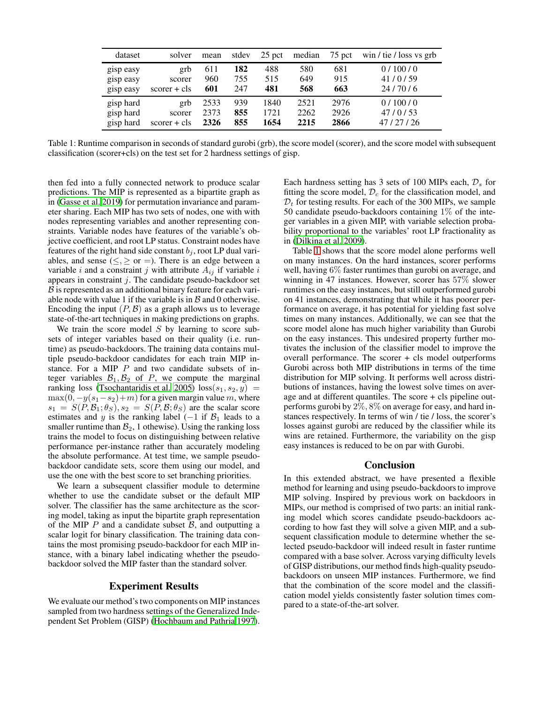<span id="page-1-0"></span>

| dataset   | solver         | mean | stdev | 25 pct | median | 75 pct | win / tie / loss vs grb |
|-----------|----------------|------|-------|--------|--------|--------|-------------------------|
| gisp easy | grb            | 611  | 182   | 488    | 580    | 681    | 0/100/0                 |
| gisp easy | scorer         | 960  | 755   | 515    | 649    | 915    | 41/0/59                 |
| gisp easy | $scorer + cls$ | 601  | 247   | 481    | 568    | 663    | 24/70/6                 |
| gisp hard | grb            | 2533 | 939   | 1840   | 2521   | 2976   | 0/100/0                 |
| gisp hard | scorer         | 2373 | 855   | 1721   | 2262   | 2926   | 47/0/53                 |
| gisp hard | $score + cls$  | 2326 | 855   | 1654   | 2215   | 2866   | 47/27/26                |

Table 1: Runtime comparison in seconds of standard gurobi (grb), the score model (scorer), and the score model with subsequent classification (scorer+cls) on the test set for 2 hardness settings of gisp.

then fed into a fully connected network to produce scalar predictions. The MIP is represented as a bipartite graph as in [\(Gasse et al. 2019\)](#page-2-12) for permutation invariance and parameter sharing. Each MIP has two sets of nodes, one with with nodes representing variables and another representing constraints. Variable nodes have features of the variable's objective coefficient, and root LP status. Constraint nodes have features of the right hand side constant  $b_i$ , root LP dual variables, and sense ( $\leq, \geq$  or =). There is an edge between a variable i and a constraint j with attribute  $A_{ij}$  if variable i appears in constraint  $j$ . The candidate pseudo-backdoor set  $\beta$  is represented as an additional binary feature for each variable node with value 1 if the variable is in  $\beta$  and 0 otherwise. Encoding the input  $(P, \mathcal{B})$  as a graph allows us to leverage state-of-the-art techniques in making predictions on graphs.

We train the score model  $S$  by learning to score subsets of integer variables based on their quality (i.e. runtime) as pseudo-backdoors. The training data contains multiple pseudo-backdoor candidates for each train MIP instance. For a MIP P and two candidate subsets of integer variables  $\mathcal{B}_1, \mathcal{B}_2$  of P, we compute the marginal ranking loss [\(Tsochantaridis et al. 2005\)](#page-2-13)  $loss(s_1, s_2, y)$  =  $\max(0, -y(s_1-s_2)+m)$  for a given margin value m, where  $s_1 = S(P, \mathcal{B}_1; \theta_S), s_2 = S(P, \mathcal{B}; \theta_S)$  are the scalar score estimates and y is the ranking label  $(-1 \text{ if } B_1 \text{ leads to a})$ smaller runtime than  $B_2$ , 1 othewise). Using the ranking loss trains the model to focus on distinguishing between relative performance per-instance rather than accurately modeling the absolute performance. At test time, we sample pseudobackdoor candidate sets, score them using our model, and use the one with the best score to set branching priorities.

We learn a subsequent classifier module to determine whether to use the candidate subset or the default MIP solver. The classifier has the same architecture as the scoring model, taking as input the bipartite graph representation of the MIP  $P$  and a candidate subset  $B$ , and outputting a scalar logit for binary classification. The training data contains the most promising pseudo-backdoor for each MIP instance, with a binary label indicating whether the pseudobackdoor solved the MIP faster than the standard solver.

#### Experiment Results

We evaluate our method's two components on MIP instances sampled from two hardness settings of the Generalized Independent Set Problem (GISP) [\(Hochbaum and Pathria 1997\)](#page-2-14).

Each hardness setting has 3 sets of 100 MIPs each,  $\mathcal{D}_s$  for fitting the score model,  $\mathcal{D}_c$  for the classification model, and  $\mathcal{D}_t$  for testing results. For each of the 300 MIPs, we sample 50 candidate pseudo-backdoors containing 1% of the integer variables in a given MIP, with variable selection probability proportional to the variables' root LP fractionality as in [\(Dilkina et al. 2009](#page-2-4)).

Table [1](#page-1-0) shows that the score model alone performs well on many instances. On the hard instances, scorer performs well, having 6% faster runtimes than gurobi on average, and winning in 47 instances. However, scorer has 57% slower runtimes on the easy instances, but still outperformed gurobi on 41 instances, demonstrating that while it has poorer performance on average, it has potential for yielding fast solve times on many instances. Additionally, we can see that the score model alone has much higher variability than Gurobi on the easy instances. This undesired property further motivates the inclusion of the classifier model to improve the overall performance. The scorer + cls model outperforms Gurobi across both MIP distributions in terms of the time distribution for MIP solving. It performs well across distributions of instances, having the lowest solve times on average and at different quantiles. The score + cls pipeline outperforms gurobi by 2%, 8% on average for easy, and hard instances respectively. In terms of win / tie / loss, the scorer's losses against gurobi are reduced by the classifier while its wins are retained. Furthermore, the variability on the gisp easy instances is reduced to be on par with Gurobi.

#### Conclusion

In this extended abstract, we have presented a flexible method for learning and using pseudo-backdoors to improve MIP solving. Inspired by previous work on backdoors in MIPs, our method is comprised of two parts: an initial ranking model which scores candidate pseudo-backdoors according to how fast they will solve a given MIP, and a subsequent classification module to determine whether the selected pseudo-backdoor will indeed result in faster runtime compared with a base solver. Across varying difficulty levels of GISP distributions, our method finds high-quality pseudobackdoors on unseen MIP instances. Furthermore, we find that the combination of the score model and the classification model yields consistently faster solution times compared to a state-of-the-art solver.